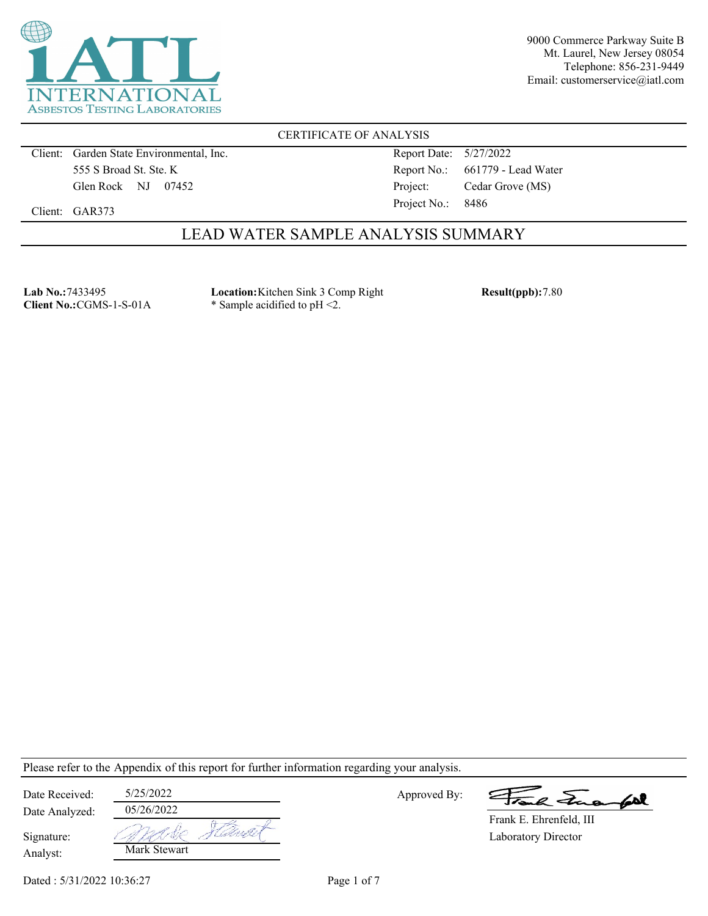

CERTIFICATE OF ANALYSIS

Client: Garden State Environmental, Inc. 555 S Broad St. Ste. K Glen Rock NJ 07452

Report Date: 5/27/2022 Report No.: 661779 - Lead Water Project: Cedar Grove (MS) Project No.: 8486

Client: GAR373

## LEAD WATER SAMPLE ANALYSIS SUMMARY

**Lab No.:**7433495 **Client No.:**CGMS-1-S-01A **Location:**Kitchen Sink 3 Comp Right \* Sample acidified to pH <2.

**Result(ppb):**7.80

Please refer to the Appendix of this report for further information regarding your analysis.

| Date Received: | 5/25/2022    |  |
|----------------|--------------|--|
| Date Analyzed: | 05/26/2022   |  |
| Signature:     |              |  |
| Analyst:       | Mark Stewart |  |

Approved By:

2 Tues fort

Laboratory Director Frank E. Ehrenfeld, III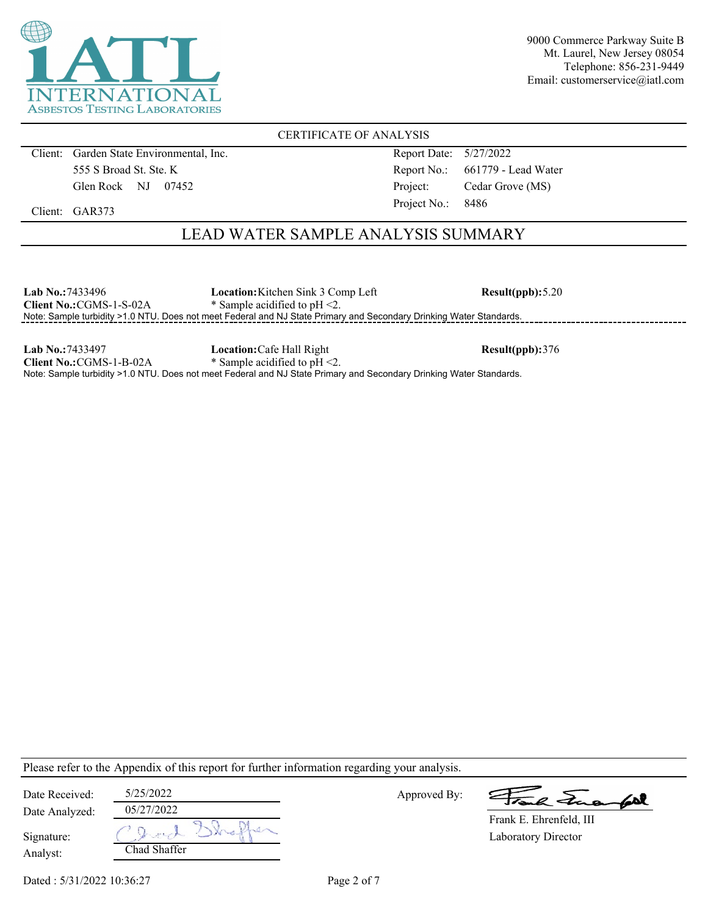

CERTIFICATE OF ANALYSIS

Client: Garden State Environmental, Inc. 555 S Broad St. Ste. K Glen Rock NJ 07452

Report Date: 5/27/2022 Report No.: 661779 - Lead Water Project: Cedar Grove (MS) Project No.: 8486

Client: GAR373

# LEAD WATER SAMPLE ANALYSIS SUMMARY

| <b>Lab No.:7433496</b>          | <b>Location:</b> Kitchen Sink 3 Comp Left                                                                           | Result(ppb): 5.20 |
|---------------------------------|---------------------------------------------------------------------------------------------------------------------|-------------------|
| <b>Client No.: CGMS-1-S-02A</b> | * Sample acidified to $pH < 2$ .                                                                                    |                   |
|                                 | Note: Sample turbidity >1.0 NTU. Does not meet Federal and NJ State Primary and Secondary Drinking Water Standards. |                   |
|                                 |                                                                                                                     |                   |

**Lab No.:**7433497 **Client No.:**CGMS-1-B-02A **Location:**Cafe Hall Right \* Sample acidified to pH <2. **Result(ppb):**376 Note: Sample turbidity >1.0 NTU. Does not meet Federal and NJ State Primary and Secondary Drinking Water Standards.

Please refer to the Appendix of this report for further information regarding your analysis.

| Date Received: | 5/25/2022       | Approved By: | Frank Funantel          |
|----------------|-----------------|--------------|-------------------------|
| Date Analyzed: | 05/27/2022      |              | Frank E. Ehrenfeld, III |
| Signature:     | O Junch Shaffer |              | Laboratory Director     |
| Analyst:       | Chad Shaffer    |              |                         |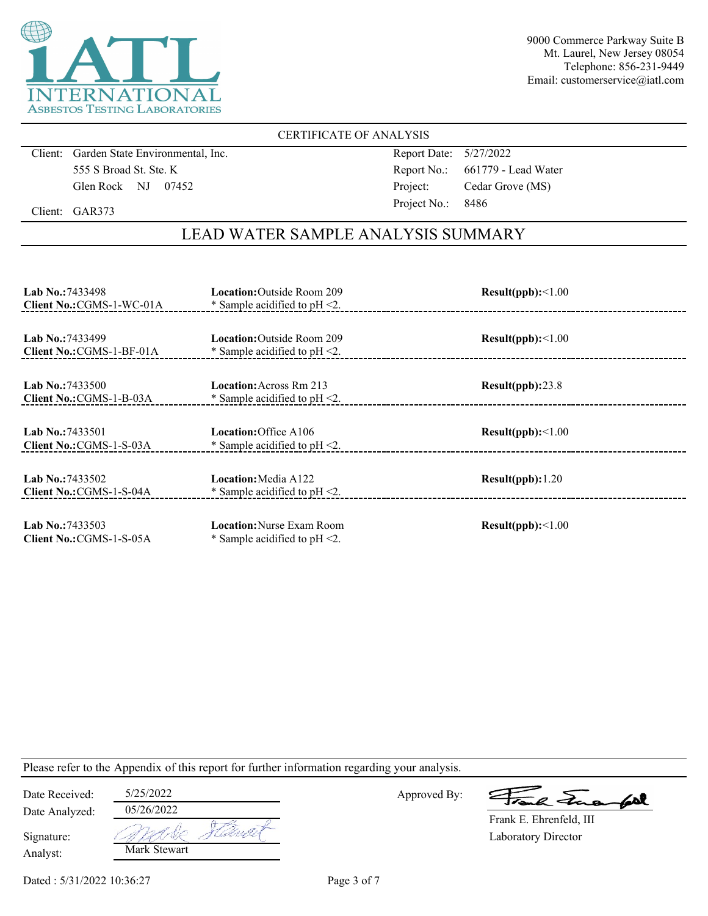

### CERTIFICATE OF ANALYSIS

Client: Garden State Environmental, Inc. 555 S Broad St. Ste. K Glen Rock NJ 07452

Report Date: 5/27/2022 Report No.: 661779 - Lead Water Project: Cedar Grove (MS) Project No.: 8486

Client: GAR373

# LEAD WATER SAMPLE ANALYSIS SUMMARY

| <b>Lab No.: 7433498</b><br>Client No.: CGMS-1-WC-01A | <b>Location:</b> Outside Room 209<br>* Sample acidified to $pH < 2$ . | Result(ppb):<1.00 |
|------------------------------------------------------|-----------------------------------------------------------------------|-------------------|
| <b>Lab No.:7433499</b><br>Client No.: CGMS-1-BF-01A  | <b>Location:</b> Outside Room 209<br>* Sample acidified to $pH < 2$ . | Result(ppb):<1.00 |
| <b>Lab No.:7433500</b><br>Client No.: CGMS-1-B-03A   | <b>Location:</b> Across Rm 213<br>* Sample acidified to $pH < 2$ .    | Result(ppb):23.8  |
| <b>Lab No.:7433501</b><br>Client No.: CGMS-1-S-03A   | Location: Office A106<br>* Sample acidified to $pH < 2$ .             | Result(ppb):<1.00 |
| Lab No.: $7433502$<br>Client No.: CGMS-1-S-04A       | Location: Media A122<br>* Sample acidified to $pH < 2$ .              | Result(ppb): 1.20 |
| <b>Lab No.:7433503</b><br>Client No.: CGMS-1-S-05A   | <b>Location:</b> Nurse Exam Room<br>* Sample acidified to $pH < 2$ .  | Result(ppb):<1.00 |

Please refer to the Appendix of this report for further information regarding your analysis.

| Date Received:         | 5/25/2022                      | Approved By: |
|------------------------|--------------------------------|--------------|
| Date Analyzed:         | 05/26/2022                     |              |
| Signature:<br>Analyst: | Kawat<br>madie<br>Mark Stewart |              |

a Jua fol

Dated : 5/31/2022 10:36:27 Page 3 of 7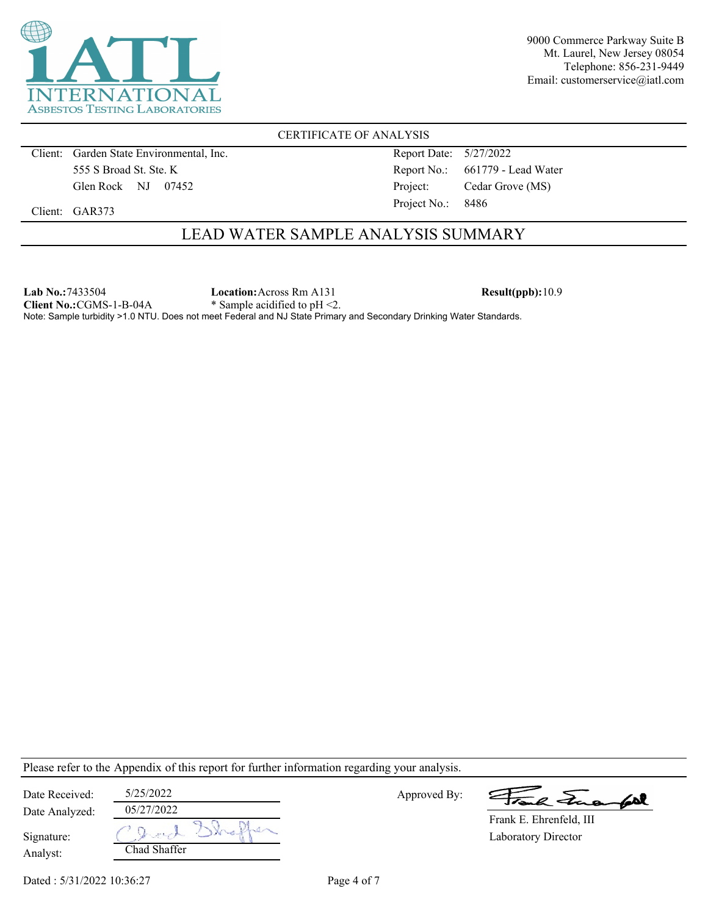

CERTIFICATE OF ANALYSIS

Client: Garden State Environmental, Inc. 555 S Broad St. Ste. K Glen Rock NJ 07452

Report Date: 5/27/2022 Report No.: 661779 - Lead Water Project: Cedar Grove (MS) Project No.: 8486

Client: GAR373

# LEAD WATER SAMPLE ANALYSIS SUMMARY

**Lab No.:**7433504 **Client No.:**CGMS-1-B-04A **Location:**Across Rm A131 \* Sample acidified to pH <2. **Result(ppb):**10.9 Note: Sample turbidity >1.0 NTU. Does not meet Federal and NJ State Primary and Secondary Drinking Water Standards.

Please refer to the Appendix of this report for further information regarding your analysis.

| Date Received: | 5/25/2022    | Approved By: | Frank Fuerfol              |
|----------------|--------------|--------------|----------------------------|
| Date Analyzed: | 05/27/2022   |              | Frank E. Ehrenfeld, III    |
| Signature:     |              |              | <b>Laboratory Director</b> |
| Analyst:       | Chad Shaffer |              |                            |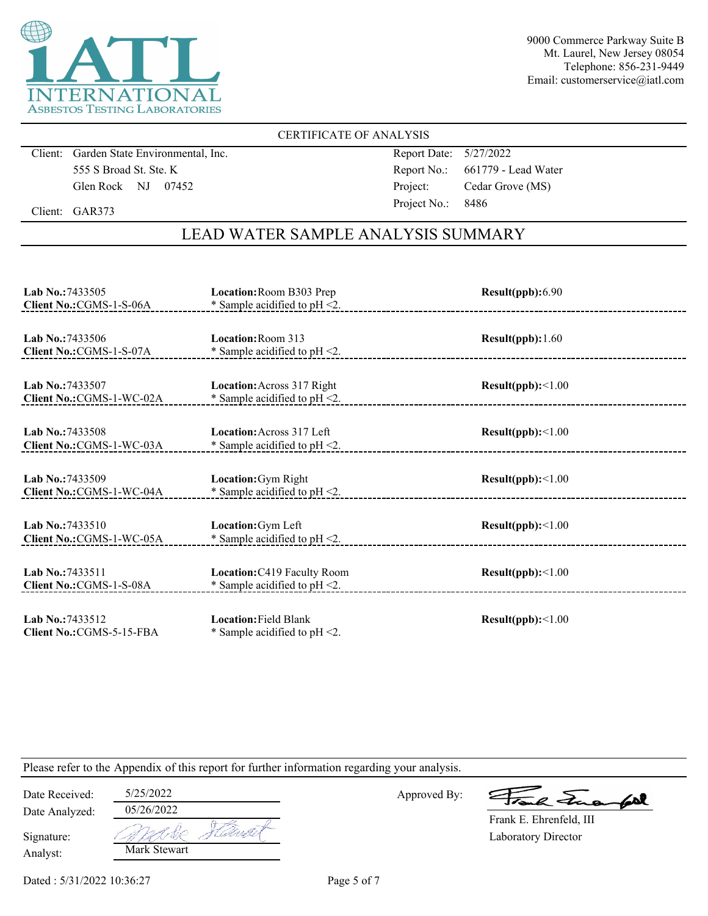

### CERTIFICATE OF ANALYSIS

Client: Garden State Environmental, Inc. 555 S Broad St. Ste. K Glen Rock NJ 07452

Report Date: 5/27/2022 Report No.: 661779 - Lead Water Project: Cedar Grove (MS) Project No.: 8486

Client: GAR373

# LEAD WATER SAMPLE ANALYSIS SUMMARY

| Lab No.: 7433505<br>Client No.: CGMS-1-S-06A        | Location: Room B303 Prep<br>* Sample acidified to $pH < 2$ .          | Result(ppb):6.90  |
|-----------------------------------------------------|-----------------------------------------------------------------------|-------------------|
| <b>Lab No.: 7433506</b><br>Client No.: CGMS-1-S-07A | Location: Room 313<br>* Sample acidified to $pH < 2$ .                | Result(ppb): 1.60 |
| Lab No.: 7433507<br>Client No.: CGMS-1-WC-02A       | <b>Location:</b> Across 317 Right<br>* Sample acidified to $pH < 2$ . | Result(ppb):<1.00 |
| Lab No.: 7433508<br>Client No.: CGMS-1-WC-03A       | Location: Across 317 Left<br>* Sample acidified to $pH < 2$ .         | Result(ppb):<1.00 |
| Lab No.: 7433509<br>Client No.: CGMS-1-WC-04A       | Location: Gym Right<br>* Sample acidified to $pH < 2$ .               | Result(ppb):<1.00 |
| Lab No.: 7433510<br>Client No.: CGMS-1-WC-05A       | Location: Gym Left<br>* Sample acidified to $pH < 2$ .                | Result(ppb):<1.00 |
| Lab No.: 7433511<br>Client No.: CGMS-1-S-08A        | Location: C419 Faculty Room<br>* Sample acidified to $pH < 2$ .       | Result(ppb):<1.00 |
| Lab No.: 7433512<br>Client No.: CGMS-5-15-FBA       | <b>Location: Field Blank</b><br>* Sample acidified to pH <2.          | Result(ppb):<1.00 |

Please refer to the Appendix of this report for further information regarding your analysis.

| Date Received:         | 5/25/2022    |       |
|------------------------|--------------|-------|
| Date Analyzed:         | 05/26/2022   |       |
| Signature:<br>Analyst: | Mark Stewart | Uarla |

Approved By:

a Jua fol

Laboratory Director Frank E. Ehrenfeld, III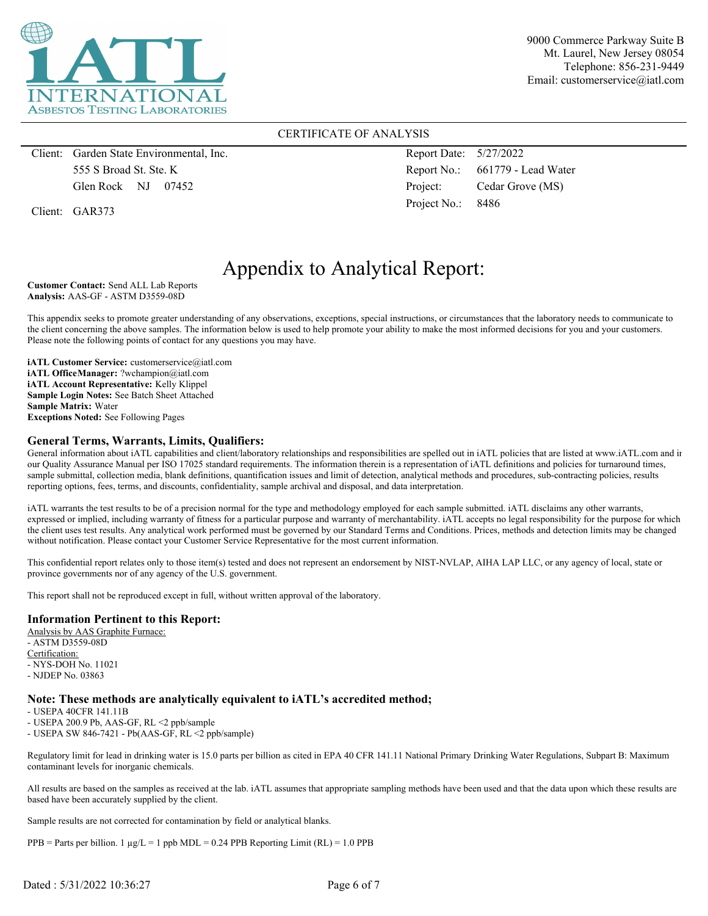

### CERTIFICATE OF ANALYSIS

Client: Garden State Environmental, Inc. 555 S Broad St. Ste. K Glen Rock NJ 07452

Client: GAR373

Report Date: 5/27/2022 Report No.: 661779 - Lead Water Project: Cedar Grove (MS) Project No.: 8486

# Appendix to Analytical Report:

**Customer Contact:** Send ALL Lab Reports **Analysis:** AAS-GF - ASTM D3559-08D

This appendix seeks to promote greater understanding of any observations, exceptions, special instructions, or circumstances that the laboratory needs to communicate to the client concerning the above samples. The information below is used to help promote your ability to make the most informed decisions for you and your customers. Please note the following points of contact for any questions you may have.

**iATL Customer Service:** customerservice@iatl.com **iATL OfficeManager:** ?wchampion@iatl.com **iATL Account Representative:** Kelly Klippel **Sample Login Notes:** See Batch Sheet Attached **Sample Matrix:** Water **Exceptions Noted:** See Following Pages

### **General Terms, Warrants, Limits, Qualifiers:**

General information about iATL capabilities and client/laboratory relationships and responsibilities are spelled out in iATL policies that are listed at www.iATL.com and in our Quality Assurance Manual per ISO 17025 standard requirements. The information therein is a representation of iATL definitions and policies for turnaround times, sample submittal, collection media, blank definitions, quantification issues and limit of detection, analytical methods and procedures, sub-contracting policies, results reporting options, fees, terms, and discounts, confidentiality, sample archival and disposal, and data interpretation.

iATL warrants the test results to be of a precision normal for the type and methodology employed for each sample submitted. iATL disclaims any other warrants, expressed or implied, including warranty of fitness for a particular purpose and warranty of merchantability. iATL accepts no legal responsibility for the purpose for which the client uses test results. Any analytical work performed must be governed by our Standard Terms and Conditions. Prices, methods and detection limits may be changed without notification. Please contact your Customer Service Representative for the most current information.

This confidential report relates only to those item(s) tested and does not represent an endorsement by NIST-NVLAP, AIHA LAP LLC, or any agency of local, state or province governments nor of any agency of the U.S. government.

This report shall not be reproduced except in full, without written approval of the laboratory.

#### **Information Pertinent to this Report:**

Analysis by AAS Graphite Furnace: - ASTM D3559-08D Certification: - NYS-DOH No. 11021 - NJDEP No. 03863

#### **Note: These methods are analytically equivalent to iATL's accredited method;**

- USEPA 40CFR 141.11B

- USEPA 200.9 Pb, AAS-GF, RL <2 ppb/sample

- USEPA SW 846-7421 - Pb(AAS-GF, RL <2 ppb/sample)

Regulatory limit for lead in drinking water is 15.0 parts per billion as cited in EPA 40 CFR 141.11 National Primary Drinking Water Regulations, Subpart B: Maximum contaminant levels for inorganic chemicals.

All results are based on the samples as received at the lab. iATL assumes that appropriate sampling methods have been used and that the data upon which these results are based have been accurately supplied by the client.

Sample results are not corrected for contamination by field or analytical blanks.

 $PPB =$  Parts per billion. 1  $\mu g/L = 1$  ppb MDL = 0.24 PPB Reporting Limit (RL) = 1.0 PPB